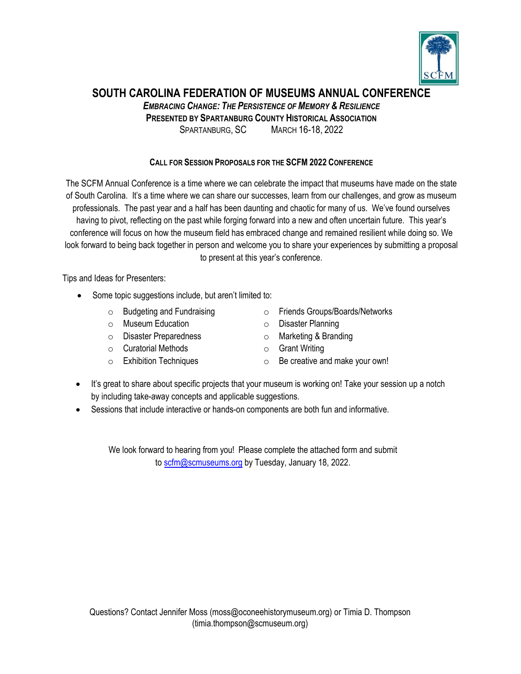

## **SOUTH CAROLINA FEDERATION OF MUSEUMS ANNUAL CONFERENCE**

*EMBRACING CHANGE: THE PERSISTENCE OF MEMORY & RESILIENCE*

**PRESENTED BY SPARTANBURG COUNTY HISTORICAL ASSOCIATION**

SPARTANBURG, SC MARCH 16-18, 2022

## **CALL FOR SESSION PROPOSALS FOR THE SCFM 2022 CONFERENCE**

The SCFM Annual Conference is a time where we can celebrate the impact that museums have made on the state of South Carolina. It's a time where we can share our successes, learn from our challenges, and grow as museum professionals. The past year and a half has been daunting and chaotic for many of us. We've found ourselves having to pivot, reflecting on the past while forging forward into a new and often uncertain future. This year's conference will focus on how the museum field has embraced change and remained resilient while doing so. We look forward to being back together in person and welcome you to share your experiences by submitting a proposal to present at this year's conference.

Tips and Ideas for Presenters:

- Some topic suggestions include, but aren't limited to:
	- o Budgeting and Fundraising
	- o Museum Education
	- o Disaster Preparedness
	- o Curatorial Methods
	- o Exhibition Techniques
- o Friends Groups/Boards/Networks
- o Disaster Planning
- o Marketing & Branding
- o Grant Writing
- o Be creative and make your own!
- It's great to share about specific projects that your museum is working on! Take your session up a notch by including take-away concepts and applicable suggestions.
- Sessions that include interactive or hands-on components are both fun and informative.

We look forward to hearing from you! Please complete the attached form and submit to scfm@scmuseums.org by Tuesday, January 18, 2022.